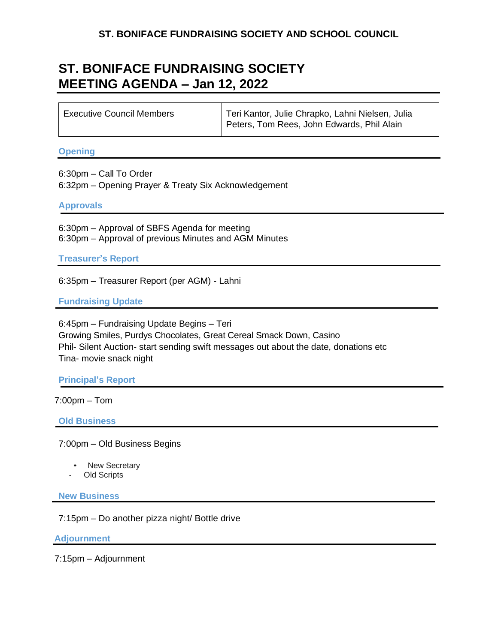# **ST. BONIFACE FUNDRAISING SOCIETY AND SCHOOL COUNCIL**

# **ST. BONIFACE FUNDRAISING SOCIETY MEETING AGENDA – Jan 12, 2022**

| Executive Council Members | Teri Kantor, Julie Chrapko, Lahni Nielsen, Julia<br>Peters, Tom Rees, John Edwards, Phil Alain |
|---------------------------|------------------------------------------------------------------------------------------------|
|                           |                                                                                                |

#### **Opening**

6:30pm – Call To Order 6:32pm – Opening Prayer & Treaty Six Acknowledgement

#### **Approvals**

6:30pm – Approval of SBFS Agenda for meeting 6:30pm – Approval of previous Minutes and AGM Minutes

**Treasurer's Report**

6:35pm – Treasurer Report (per AGM) - Lahni

### **Fundraising Update**

6:45pm – Fundraising Update Begins – Teri Growing Smiles, Purdys Chocolates, Great Cereal Smack Down, Casino Phil- Silent Auction- start sending swift messages out about the date, donations etc Tina- movie snack night

### **Principal's Report**

7:00pm – Tom

**Old Business**

7:00pm – Old Business Begins

- New Secretary
- Old Scripts

**New Business**

7:15pm – Do another pizza night/ Bottle drive

**Adjournment**

7:15pm – Adjournment